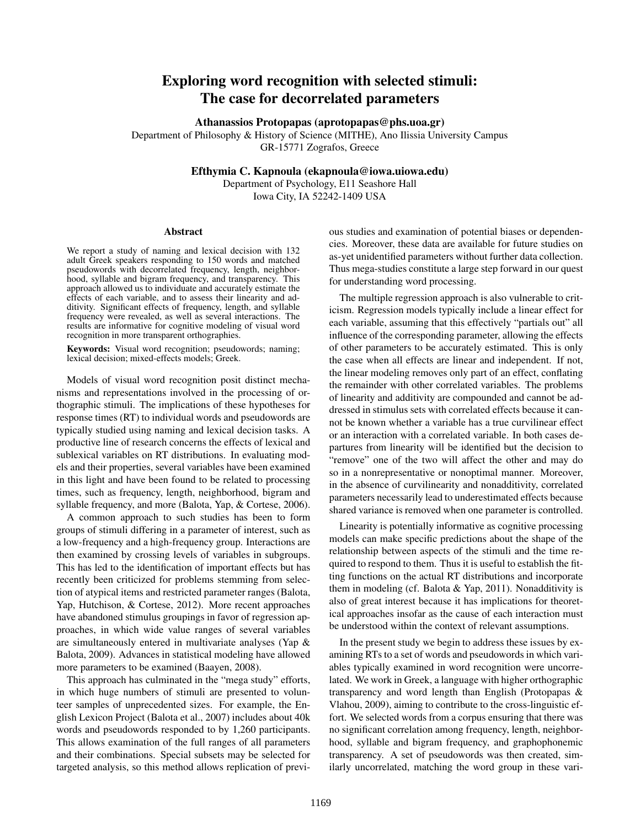# Exploring word recognition with selected stimuli: The case for decorrelated parameters

Athanassios Protopapas (aprotopapas@phs.uoa.gr)

Department of Philosophy & History of Science (MITHE), Ano Ilissia University Campus GR-15771 Zografos, Greece

Efthymia C. Kapnoula (ekapnoula@iowa.uiowa.edu)

Department of Psychology, E11 Seashore Hall Iowa City, IA 52242-1409 USA

#### Abstract

We report a study of naming and lexical decision with 132 adult Greek speakers responding to 150 words and matched pseudowords with decorrelated frequency, length, neighborhood, syllable and bigram frequency, and transparency. This approach allowed us to individuate and accurately estimate the effects of each variable, and to assess their linearity and additivity. Significant effects of frequency, length, and syllable frequency were revealed, as well as several interactions. The results are informative for cognitive modeling of visual word recognition in more transparent orthographies.

Keywords: Visual word recognition; pseudowords; naming; lexical decision; mixed-effects models; Greek.

Models of visual word recognition posit distinct mechanisms and representations involved in the processing of orthographic stimuli. The implications of these hypotheses for response times (RT) to individual words and pseudowords are typically studied using naming and lexical decision tasks. A productive line of research concerns the effects of lexical and sublexical variables on RT distributions. In evaluating models and their properties, several variables have been examined in this light and have been found to be related to processing times, such as frequency, length, neighborhood, bigram and syllable frequency, and more (Balota, Yap, & Cortese, 2006).

A common approach to such studies has been to form groups of stimuli differing in a parameter of interest, such as a low-frequency and a high-frequency group. Interactions are then examined by crossing levels of variables in subgroups. This has led to the identification of important effects but has recently been criticized for problems stemming from selection of atypical items and restricted parameter ranges (Balota, Yap, Hutchison, & Cortese, 2012). More recent approaches have abandoned stimulus groupings in favor of regression approaches, in which wide value ranges of several variables are simultaneously entered in multivariate analyses (Yap & Balota, 2009). Advances in statistical modeling have allowed more parameters to be examined (Baayen, 2008).

This approach has culminated in the "mega study" efforts, in which huge numbers of stimuli are presented to volunteer samples of unprecedented sizes. For example, the English Lexicon Project (Balota et al., 2007) includes about 40k words and pseudowords responded to by 1,260 participants. This allows examination of the full ranges of all parameters and their combinations. Special subsets may be selected for targeted analysis, so this method allows replication of previous studies and examination of potential biases or dependencies. Moreover, these data are available for future studies on as-yet unidentified parameters without further data collection. Thus mega-studies constitute a large step forward in our quest for understanding word processing.

The multiple regression approach is also vulnerable to criticism. Regression models typically include a linear effect for each variable, assuming that this effectively "partials out" all influence of the corresponding parameter, allowing the effects of other parameters to be accurately estimated. This is only the case when all effects are linear and independent. If not, the linear modeling removes only part of an effect, conflating the remainder with other correlated variables. The problems of linearity and additivity are compounded and cannot be addressed in stimulus sets with correlated effects because it cannot be known whether a variable has a true curvilinear effect or an interaction with a correlated variable. In both cases departures from linearity will be identified but the decision to "remove" one of the two will affect the other and may do so in a nonrepresentative or nonoptimal manner. Moreover, in the absence of curvilinearity and nonadditivity, correlated parameters necessarily lead to underestimated effects because shared variance is removed when one parameter is controlled.

Linearity is potentially informative as cognitive processing models can make specific predictions about the shape of the relationship between aspects of the stimuli and the time required to respond to them. Thus it is useful to establish the fitting functions on the actual RT distributions and incorporate them in modeling (cf. Balota  $\&$  Yap, 2011). Nonadditivity is also of great interest because it has implications for theoretical approaches insofar as the cause of each interaction must be understood within the context of relevant assumptions.

In the present study we begin to address these issues by examining RTs to a set of words and pseudowords in which variables typically examined in word recognition were uncorrelated. We work in Greek, a language with higher orthographic transparency and word length than English (Protopapas & Vlahou, 2009), aiming to contribute to the cross-linguistic effort. We selected words from a corpus ensuring that there was no significant correlation among frequency, length, neighborhood, syllable and bigram frequency, and graphophonemic transparency. A set of pseudowords was then created, similarly uncorrelated, matching the word group in these vari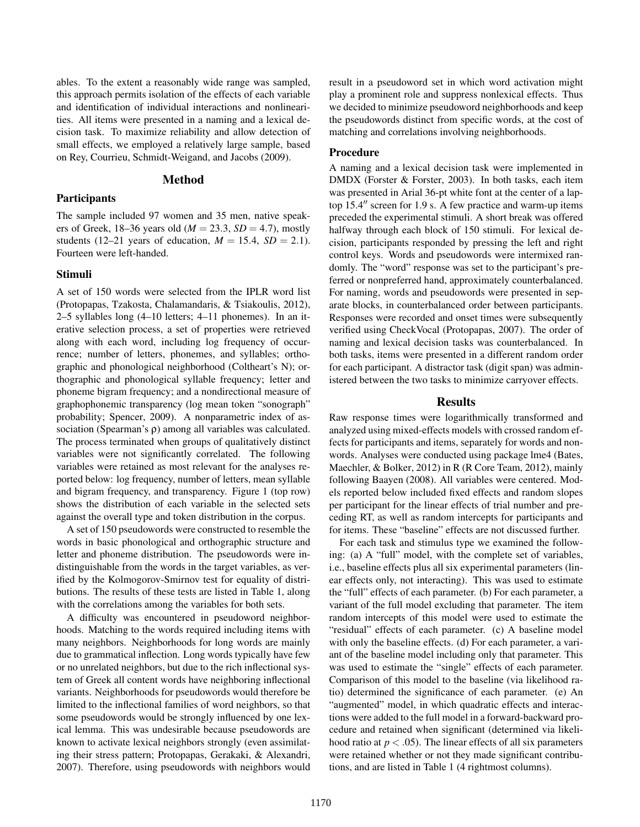ables. To the extent a reasonably wide range was sampled, this approach permits isolation of the effects of each variable and identification of individual interactions and nonlinearities. All items were presented in a naming and a lexical decision task. To maximize reliability and allow detection of small effects, we employed a relatively large sample, based on Rey, Courrieu, Schmidt-Weigand, and Jacobs (2009).

## Method

#### **Participants**

The sample included 97 women and 35 men, native speakers of Greek,  $18-36$  years old ( $M = 23.3$ ,  $SD = 4.7$ ), mostly students (12–21 years of education,  $M = 15.4$ ,  $SD = 2.1$ ). Fourteen were left-handed.

## Stimuli

A set of 150 words were selected from the IPLR word list (Protopapas, Tzakosta, Chalamandaris, & Tsiakoulis, 2012), 2–5 syllables long (4–10 letters; 4–11 phonemes). In an iterative selection process, a set of properties were retrieved along with each word, including log frequency of occurrence; number of letters, phonemes, and syllables; orthographic and phonological neighborhood (Coltheart's N); orthographic and phonological syllable frequency; letter and phoneme bigram frequency; and a nondirectional measure of graphophonemic transparency (log mean token "sonograph" probability; Spencer, 2009). A nonparametric index of association (Spearman's ρ) among all variables was calculated. The process terminated when groups of qualitatively distinct variables were not significantly correlated. The following variables were retained as most relevant for the analyses reported below: log frequency, number of letters, mean syllable and bigram frequency, and transparency. Figure 1 (top row) shows the distribution of each variable in the selected sets against the overall type and token distribution in the corpus.

A set of 150 pseudowords were constructed to resemble the words in basic phonological and orthographic structure and letter and phoneme distribution. The pseudowords were indistinguishable from the words in the target variables, as verified by the Kolmogorov-Smirnov test for equality of distributions. The results of these tests are listed in Table 1, along with the correlations among the variables for both sets.

A difficulty was encountered in pseudoword neighborhoods. Matching to the words required including items with many neighbors. Neighborhoods for long words are mainly due to grammatical inflection. Long words typically have few or no unrelated neighbors, but due to the rich inflectional system of Greek all content words have neighboring inflectional variants. Neighborhoods for pseudowords would therefore be limited to the inflectional families of word neighbors, so that some pseudowords would be strongly influenced by one lexical lemma. This was undesirable because pseudowords are known to activate lexical neighbors strongly (even assimilating their stress pattern; Protopapas, Gerakaki, & Alexandri, 2007). Therefore, using pseudowords with neighbors would result in a pseudoword set in which word activation might play a prominent role and suppress nonlexical effects. Thus we decided to minimize pseudoword neighborhoods and keep the pseudowords distinct from specific words, at the cost of matching and correlations involving neighborhoods.

### Procedure

A naming and a lexical decision task were implemented in DMDX (Forster & Forster, 2003). In both tasks, each item was presented in Arial 36-pt white font at the center of a laptop  $15.4$ <sup>"</sup> screen for 1.9 s. A few practice and warm-up items preceded the experimental stimuli. A short break was offered halfway through each block of 150 stimuli. For lexical decision, participants responded by pressing the left and right control keys. Words and pseudowords were intermixed randomly. The "word" response was set to the participant's preferred or nonpreferred hand, approximately counterbalanced. For naming, words and pseudowords were presented in separate blocks, in counterbalanced order between participants. Responses were recorded and onset times were subsequently verified using CheckVocal (Protopapas, 2007). The order of naming and lexical decision tasks was counterbalanced. In both tasks, items were presented in a different random order for each participant. A distractor task (digit span) was administered between the two tasks to minimize carryover effects.

## Results

Raw response times were logarithmically transformed and analyzed using mixed-effects models with crossed random effects for participants and items, separately for words and nonwords. Analyses were conducted using package lme4 (Bates, Maechler, & Bolker, 2012) in R (R Core Team, 2012), mainly following Baayen (2008). All variables were centered. Models reported below included fixed effects and random slopes per participant for the linear effects of trial number and preceding RT, as well as random intercepts for participants and for items. These "baseline" effects are not discussed further.

For each task and stimulus type we examined the following: (a) A "full" model, with the complete set of variables, i.e., baseline effects plus all six experimental parameters (linear effects only, not interacting). This was used to estimate the "full" effects of each parameter. (b) For each parameter, a variant of the full model excluding that parameter. The item random intercepts of this model were used to estimate the "residual" effects of each parameter. (c) A baseline model with only the baseline effects. (d) For each parameter, a variant of the baseline model including only that parameter. This was used to estimate the "single" effects of each parameter. Comparison of this model to the baseline (via likelihood ratio) determined the significance of each parameter. (e) An "augmented" model, in which quadratic effects and interactions were added to the full model in a forward-backward procedure and retained when significant (determined via likelihood ratio at  $p < .05$ ). The linear effects of all six parameters were retained whether or not they made significant contributions, and are listed in Table 1 (4 rightmost columns).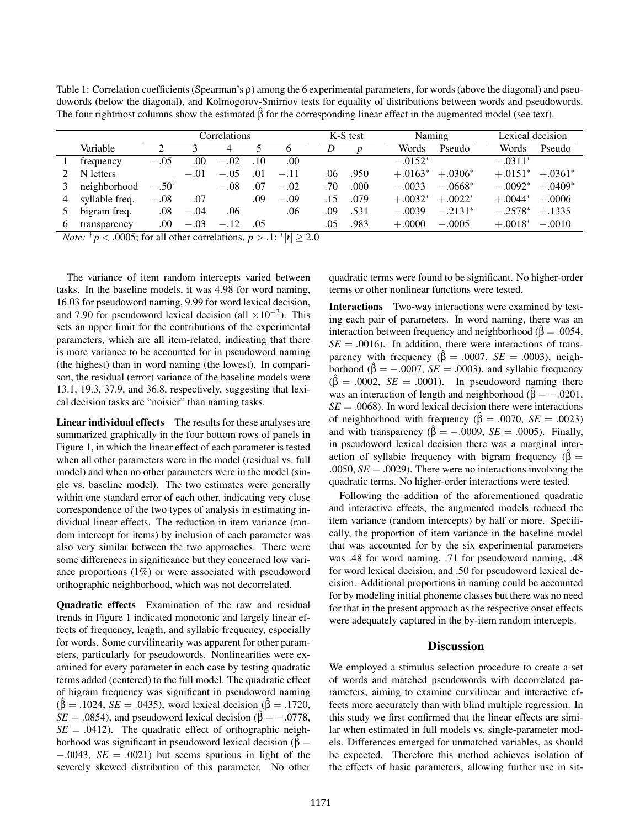Table 1: Correlation coefficients (Spearman's ρ) among the 6 experimental parameters, for words (above the diagonal) and pseudowords (below the diagonal), and Kolmogorov-Smirnov tests for equality of distributions between words and pseudowords. The four rightmost columns show the estimated  $\hat{\beta}$  for the corresponding linear effect in the augmented model (see text).

|   |                | Correlations     |        |        |     |        |     | K-S test         | Naming                 | Lexical decision        |
|---|----------------|------------------|--------|--------|-----|--------|-----|------------------|------------------------|-------------------------|
|   | Variable       |                  |        | 4      |     | 6      | D   | $\boldsymbol{D}$ | Words<br>Pseudo        | Words<br>Pseudo         |
|   | frequency      | $-.05$           | .00    | $-.02$ | .10 | .00    |     |                  | $-.0152*$              | $-.0311*$               |
|   | N letters      |                  | $-.01$ | $-.05$ | .01 | $-.11$ | .06 | .950             | $+.0306*$<br>$+.0163*$ | $+.0151*$<br>$+0.0361*$ |
| 3 | neighborhood   | $-.50^{\dagger}$ |        | $-.08$ | .07 | $-.02$ | .70 | .000.            | $-.0668*$<br>$-.0033$  | $-.0092*$<br>$+.0409*$  |
|   | syllable freq. | $-.08$           | .07    |        | .09 | $-.09$ | .15 | .079             | $+.0022*$<br>$+.0032*$ | $+.0006$<br>$+.0044*$   |
|   | bigram freq.   | .08              | $-.04$ | .06    |     | .06    | .09 | .531             | $-.2131*$<br>$-.0039$  | $-.2578*$<br>$+.1335$   |
| 6 | transparency   | $.00\,$          | $-.03$ | $-.12$ | .05 |        | .05 | .983             | $-.0005$<br>$+.0000$   | $+.0018*$<br>$-.0010$   |

*Note:* <sup>†</sup> $p < .0005$ ; for all other correlations,  $p > .1$ ;  $\vert t \vert \ge 2.0$ 

The variance of item random intercepts varied between tasks. In the baseline models, it was 4.98 for word naming, 16.03 for pseudoword naming, 9.99 for word lexical decision, and 7.90 for pseudoword lexical decision (all  $\times 10^{-3}$ ). This sets an upper limit for the contributions of the experimental parameters, which are all item-related, indicating that there is more variance to be accounted for in pseudoword naming (the highest) than in word naming (the lowest). In comparison, the residual (error) variance of the baseline models were 13.1, 19.3, 37.9, and 36.8, respectively, suggesting that lexical decision tasks are "noisier" than naming tasks.

Linear individual effects The results for these analyses are summarized graphically in the four bottom rows of panels in Figure 1, in which the linear effect of each parameter is tested when all other parameters were in the model (residual vs. full model) and when no other parameters were in the model (single vs. baseline model). The two estimates were generally within one standard error of each other, indicating very close correspondence of the two types of analysis in estimating individual linear effects. The reduction in item variance (random intercept for items) by inclusion of each parameter was also very similar between the two approaches. There were some differences in significance but they concerned low variance proportions (1%) or were associated with pseudoword orthographic neighborhood, which was not decorrelated.

Quadratic effects Examination of the raw and residual trends in Figure 1 indicated monotonic and largely linear effects of frequency, length, and syllabic frequency, especially for words. Some curvilinearity was apparent for other parameters, particularly for pseudowords. Nonlinearities were examined for every parameter in each case by testing quadratic terms added (centered) to the full model. The quadratic effect of bigram frequency was significant in pseudoword naming  $(\hat{\beta} = .1024, \, SE = .0435)$ , word lexical decision ( $\hat{\beta} = .1720$ , *SE* = .0854), and pseudoword lexical decision ( $\hat{\beta}$  = -.0778,  $SE = .0412$ ). The quadratic effect of orthographic neighborhood was significant in pseudoword lexical decision ( $\hat{\beta}$  =  $-0.0043$ , *SE* =  $0.0021$ ) but seems spurious in light of the severely skewed distribution of this parameter. No other quadratic terms were found to be significant. No higher-order terms or other nonlinear functions were tested.

Interactions Two-way interactions were examined by testing each pair of parameters. In word naming, there was an interaction between frequency and neighborhood ( $\hat{\beta} = .0054$ ,  $SE = .0016$ . In addition, there were interactions of transparency with frequency ( $\hat{\beta} = .0007$ , *SE* = .0003), neighborhood ( $\hat{\beta} = -.0007$ , *SE* = .0003), and syllabic frequency  $(\hat{\beta} = .0002, \ \mathit{SE} = .0001)$ . In pseudoword naming there was an interaction of length and neighborhood ( $\beta = -.0201$ ,  $SE = .0068$ ). In word lexical decision there were interactions of neighborhood with frequency ( $\hat{\beta} = .0070$ , *SE* = .0023) and with transparency  $(\hat{\beta} = -.0009, SE = .0005)$ . Finally, in pseudoword lexical decision there was a marginal interaction of syllabic frequency with bigram frequency ( $\beta =$ .0050,  $SE = .0029$ ). There were no interactions involving the quadratic terms. No higher-order interactions were tested.

Following the addition of the aforementioned quadratic and interactive effects, the augmented models reduced the item variance (random intercepts) by half or more. Specifically, the proportion of item variance in the baseline model that was accounted for by the six experimental parameters was .48 for word naming, .71 for pseudoword naming, .48 for word lexical decision, and .50 for pseudoword lexical decision. Additional proportions in naming could be accounted for by modeling initial phoneme classes but there was no need for that in the present approach as the respective onset effects were adequately captured in the by-item random intercepts.

## **Discussion**

We employed a stimulus selection procedure to create a set of words and matched pseudowords with decorrelated parameters, aiming to examine curvilinear and interactive effects more accurately than with blind multiple regression. In this study we first confirmed that the linear effects are similar when estimated in full models vs. single-parameter models. Differences emerged for unmatched variables, as should be expected. Therefore this method achieves isolation of the effects of basic parameters, allowing further use in sit-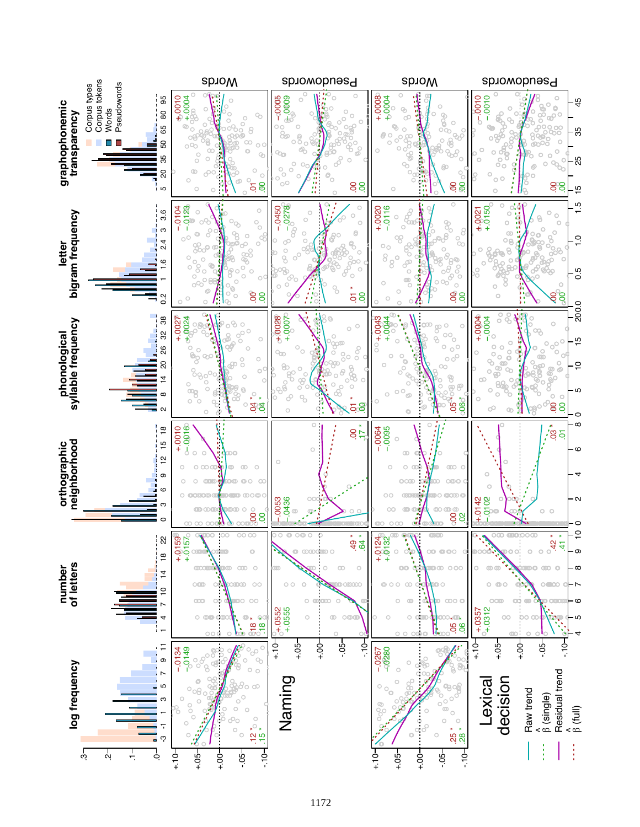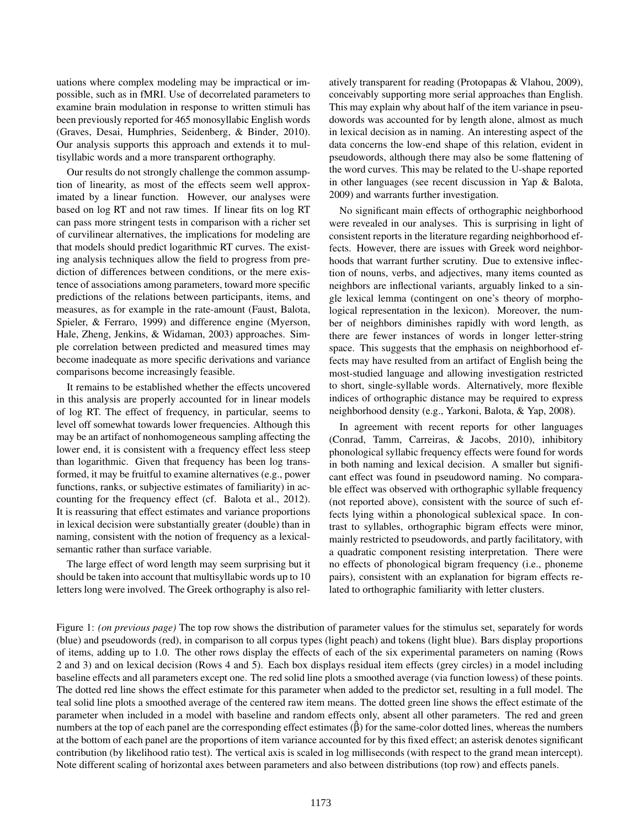uations where complex modeling may be impractical or impossible, such as in fMRI. Use of decorrelated parameters to examine brain modulation in response to written stimuli has been previously reported for 465 monosyllabic English words (Graves, Desai, Humphries, Seidenberg, & Binder, 2010). Our analysis supports this approach and extends it to multisyllabic words and a more transparent orthography.

Our results do not strongly challenge the common assumption of linearity, as most of the effects seem well approximated by a linear function. However, our analyses were based on log RT and not raw times. If linear fits on log RT can pass more stringent tests in comparison with a richer set of curvilinear alternatives, the implications for modeling are that models should predict logarithmic RT curves. The existing analysis techniques allow the field to progress from prediction of differences between conditions, or the mere existence of associations among parameters, toward more specific predictions of the relations between participants, items, and measures, as for example in the rate-amount (Faust, Balota, Spieler, & Ferraro, 1999) and difference engine (Myerson, Hale, Zheng, Jenkins, & Widaman, 2003) approaches. Simple correlation between predicted and measured times may become inadequate as more specific derivations and variance comparisons become increasingly feasible.

It remains to be established whether the effects uncovered in this analysis are properly accounted for in linear models of log RT. The effect of frequency, in particular, seems to level off somewhat towards lower frequencies. Although this may be an artifact of nonhomogeneous sampling affecting the lower end, it is consistent with a frequency effect less steep than logarithmic. Given that frequency has been log transformed, it may be fruitful to examine alternatives (e.g., power functions, ranks, or subjective estimates of familiarity) in accounting for the frequency effect (cf. Balota et al., 2012). It is reassuring that effect estimates and variance proportions in lexical decision were substantially greater (double) than in naming, consistent with the notion of frequency as a lexicalsemantic rather than surface variable.

The large effect of word length may seem surprising but it should be taken into account that multisyllabic words up to 10 letters long were involved. The Greek orthography is also relatively transparent for reading (Protopapas & Vlahou, 2009), conceivably supporting more serial approaches than English. This may explain why about half of the item variance in pseudowords was accounted for by length alone, almost as much in lexical decision as in naming. An interesting aspect of the data concerns the low-end shape of this relation, evident in pseudowords, although there may also be some flattening of the word curves. This may be related to the U-shape reported in other languages (see recent discussion in Yap & Balota, 2009) and warrants further investigation.

No significant main effects of orthographic neighborhood were revealed in our analyses. This is surprising in light of consistent reports in the literature regarding neighborhood effects. However, there are issues with Greek word neighborhoods that warrant further scrutiny. Due to extensive inflection of nouns, verbs, and adjectives, many items counted as neighbors are inflectional variants, arguably linked to a single lexical lemma (contingent on one's theory of morphological representation in the lexicon). Moreover, the number of neighbors diminishes rapidly with word length, as there are fewer instances of words in longer letter-string space. This suggests that the emphasis on neighborhood effects may have resulted from an artifact of English being the most-studied language and allowing investigation restricted to short, single-syllable words. Alternatively, more flexible indices of orthographic distance may be required to express neighborhood density (e.g., Yarkoni, Balota, & Yap, 2008).

In agreement with recent reports for other languages (Conrad, Tamm, Carreiras, & Jacobs, 2010), inhibitory phonological syllabic frequency effects were found for words in both naming and lexical decision. A smaller but significant effect was found in pseudoword naming. No comparable effect was observed with orthographic syllable frequency (not reported above), consistent with the source of such effects lying within a phonological sublexical space. In contrast to syllables, orthographic bigram effects were minor, mainly restricted to pseudowords, and partly facilitatory, with a quadratic component resisting interpretation. There were no effects of phonological bigram frequency (i.e., phoneme pairs), consistent with an explanation for bigram effects related to orthographic familiarity with letter clusters.

Figure 1: *(on previous page)* The top row shows the distribution of parameter values for the stimulus set, separately for words (blue) and pseudowords (red), in comparison to all corpus types (light peach) and tokens (light blue). Bars display proportions of items, adding up to 1.0. The other rows display the effects of each of the six experimental parameters on naming (Rows 2 and 3) and on lexical decision (Rows 4 and 5). Each box displays residual item effects (grey circles) in a model including baseline effects and all parameters except one. The red solid line plots a smoothed average (via function lowess) of these points. The dotted red line shows the effect estimate for this parameter when added to the predictor set, resulting in a full model. The teal solid line plots a smoothed average of the centered raw item means. The dotted green line shows the effect estimate of the parameter when included in a model with baseline and random effects only, absent all other parameters. The red and green numbers at the top of each panel are the corresponding effect estimates  $(\beta)$  for the same-color dotted lines, whereas the numbers at the bottom of each panel are the proportions of item variance accounted for by this fixed effect; an asterisk denotes significant contribution (by likelihood ratio test). The vertical axis is scaled in log milliseconds (with respect to the grand mean intercept). Note different scaling of horizontal axes between parameters and also between distributions (top row) and effects panels.